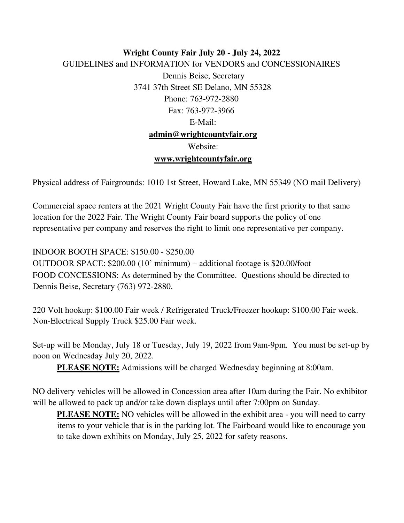## **Wright County Fair July 20 - July 24, 2022** GUIDELINES and INFORMATION for VENDORS and CONCESSIONAIRES Dennis Beise, Secretary 3741 37th Street SE Delano, MN 55328 Phone: 763-972-2880 Fax: 763-972-3966 E-Mail: **admin@wrightcountyfair.org** Website: **www.wrightcountyfair.org**

Physical address of Fairgrounds: 1010 1st Street, Howard Lake, MN 55349 (NO mail Delivery)

Commercial space renters at the 2021 Wright County Fair have the first priority to that same location for the 2022 Fair. The Wright County Fair board supports the policy of one representative per company and reserves the right to limit one representative per company.

INDOOR BOOTH SPACE: \$150.00 - \$250.00

OUTDOOR SPACE: \$200.00 (10' minimum) – additional footage is \$20.00/foot FOOD CONCESSIONS: As determined by the Committee. Questions should be directed to Dennis Beise, Secretary (763) 972-2880.

220 Volt hookup: \$100.00 Fair week / Refrigerated Truck/Freezer hookup: \$100.00 Fair week. Non-Electrical Supply Truck \$25.00 Fair week.

Set-up will be Monday, July 18 or Tuesday, July 19, 2022 from 9am-9pm. You must be set-up by noon on Wednesday July 20, 2022.

**PLEASE NOTE:** Admissions will be charged Wednesday beginning at 8:00am.

NO delivery vehicles will be allowed in Concession area after 10am during the Fair. No exhibitor will be allowed to pack up and/or take down displays until after 7:00pm on Sunday.

**PLEASE NOTE:** NO vehicles will be allowed in the exhibit area - you will need to carry items to your vehicle that is in the parking lot. The Fairboard would like to encourage you to take down exhibits on Monday, July 25, 2022 for safety reasons.